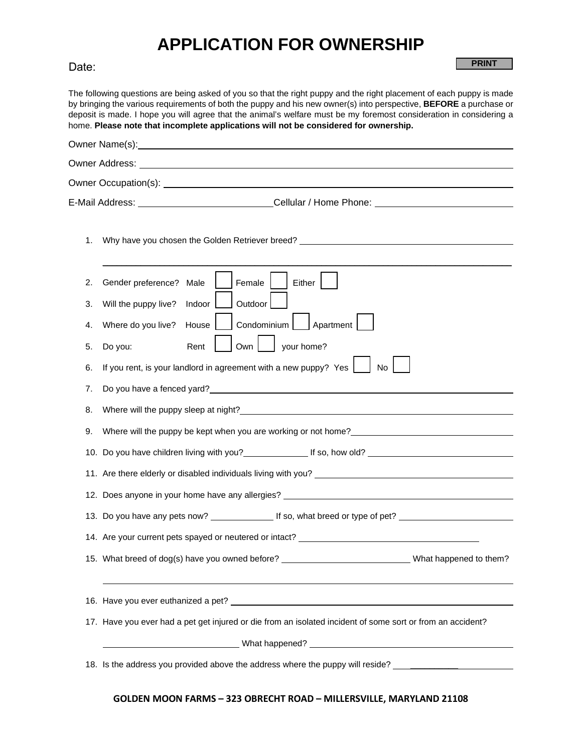## **APPLICATION FOR OWNERSHIP**

**PRINT**

## Date:

The following questions are being asked of you so that the right puppy and the right placement of each puppy is made by bringing the various requirements of both the puppy and his new owner(s) into perspective, **BEFORE** a purchase or deposit is made. I hope you will agree that the animal's welfare must be my foremost consideration in considering a home. **Please note that incomplete applications will not be considered for ownership.**

|    | Owner Name(s): <u>contained</u> and a series of the series of the series of the series of the series of the series of the series of the series of the series of the series of the series of the series of the series of the series   |
|----|--------------------------------------------------------------------------------------------------------------------------------------------------------------------------------------------------------------------------------------|
|    | Owner Address: <u>The Communication of the Communication</u> of the Communication of the Communication of the Communication of the Communication of the Communication of the Communication of the Communication of the Communicatio  |
|    | Owner Occupation(s): <u>example and contract and contract and contract and contract and contract and contract and contract and contract and contract and contract and contract and contract and contract and contract and contra</u> |
|    | E-Mail Address: ___________________________Cellular / Home Phone: ______________                                                                                                                                                     |
| 1. | Why have you chosen the Golden Retriever breed? _________________________________                                                                                                                                                    |
| 2. | Female<br>Either  <br>Gender preference? Male                                                                                                                                                                                        |
| 3. | Outdoor<br>Will the puppy live?<br>Indoor                                                                                                                                                                                            |
| 4. | Condominium     Apartment<br>Where do you live?<br>House                                                                                                                                                                             |
| 5. | Own<br>your home?<br>Do you:<br>Rent                                                                                                                                                                                                 |
| 6. | If you rent, is your landlord in agreement with a new puppy? Yes $\parallel$<br>No                                                                                                                                                   |
| 7. | Do you have a fenced yard?<br><u>Do you have a fenced yard?</u>                                                                                                                                                                      |
| 8. |                                                                                                                                                                                                                                      |
| 9. |                                                                                                                                                                                                                                      |
|    | 10. Do you have children living with you? If so, how old?                                                                                                                                                                            |
|    |                                                                                                                                                                                                                                      |
|    |                                                                                                                                                                                                                                      |
|    |                                                                                                                                                                                                                                      |
|    | 14. Are your current pets spayed or neutered or intact? _________________________                                                                                                                                                    |
|    | 15. What breed of dog(s) have you owned before?<br><u> and the manual contract and what happened to them?</u>                                                                                                                        |
|    |                                                                                                                                                                                                                                      |
|    | 17. Have you ever had a pet get injured or die from an isolated incident of some sort or from an accident?                                                                                                                           |
|    |                                                                                                                                                                                                                                      |
|    | 18. Is the address you provided above the address where the puppy will reside? ______________                                                                                                                                        |

## **GOLDEN MOON FARMS – 323 OBRECHT ROAD – MILLERSVILLE, MARYLAND 21108**